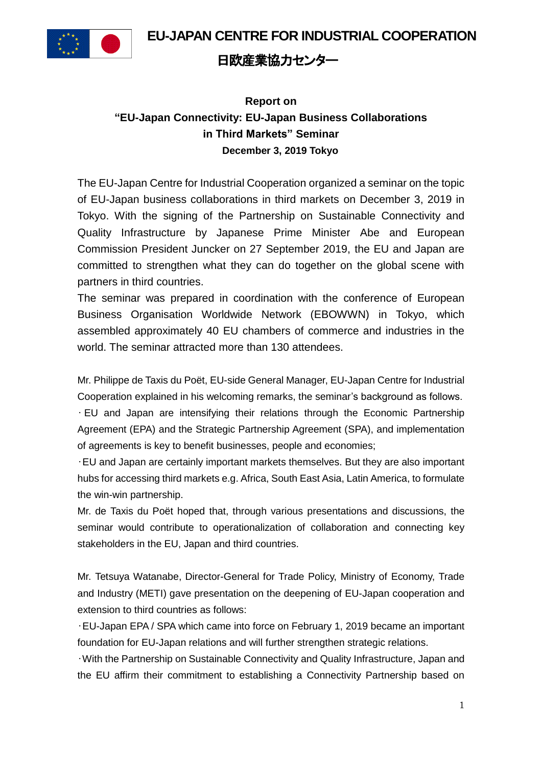**EU-JAPAN CENTRE FOR INDUSTRIAL COOPERATION**



## 日欧産業協力センター

## **Report on "EU-Japan Connectivity: EU-Japan Business Collaborations in Third Markets" Seminar December 3, 2019 Tokyo**

The EU-Japan Centre for Industrial Cooperation organized a seminar on the topic of EU-Japan business collaborations in third markets on December 3, 2019 in Tokyo. With the signing of the Partnership on Sustainable Connectivity and Quality Infrastructure by Japanese Prime Minister Abe and European Commission President Juncker on 27 September 2019, the EU and Japan are committed to strengthen what they can do together on the global scene with partners in third countries.

The seminar was prepared in coordination with the conference of European Business Organisation Worldwide Network (EBOWWN) in Tokyo, which assembled approximately 40 EU chambers of commerce and industries in the world. The seminar attracted more than 130 attendees.

Mr. Philippe de Taxis du Poët, EU-side General Manager, EU-Japan Centre for Industrial Cooperation explained in his welcoming remarks, the seminar's background as follows.

• EU and Japan are intensifying their relations through the Economic Partnership Agreement (EPA) and the Strategic Partnership Agreement (SPA), and implementation of agreements is key to benefit businesses, people and economies;

•EU and Japan are certainly important markets themselves. But they are also important hubs for accessing third markets e.g. Africa, South East Asia, Latin America, to formulate the win-win partnership.

Mr. de Taxis du Poët hoped that, through various presentations and discussions, the seminar would contribute to operationalization of collaboration and connecting key stakeholders in the EU, Japan and third countries.

Mr. Tetsuya Watanabe, Director-General for Trade Policy, Ministry of Economy, Trade and Industry (METI) gave presentation on the deepening of EU-Japan cooperation and extension to third countries as follows:

•EU-Japan EPA / SPA which came into force on February 1, 2019 became an important foundation for EU-Japan relations and will further strengthen strategic relations.

•With the Partnership on Sustainable Connectivity and Quality Infrastructure, Japan and the EU affirm their commitment to establishing a Connectivity Partnership based on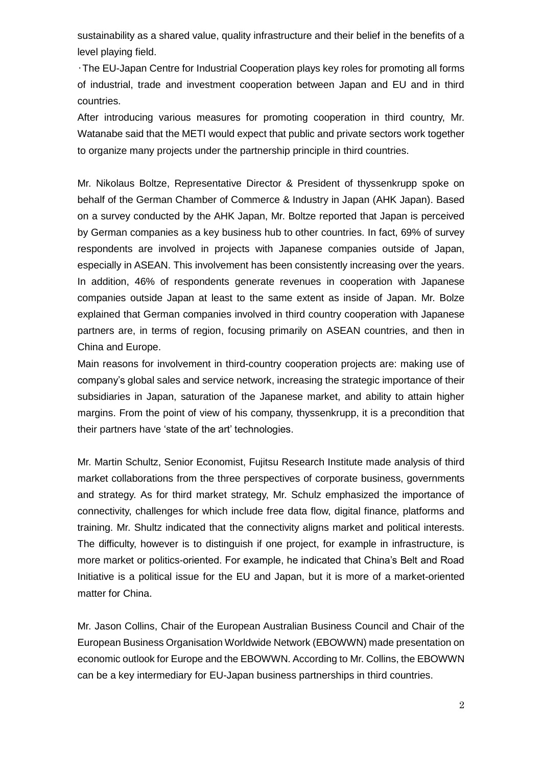sustainability as a shared value, quality infrastructure and their belief in the benefits of a level playing field.

•The EU-Japan Centre for Industrial Cooperation plays key roles for promoting all forms of industrial, trade and investment cooperation between Japan and EU and in third countries.

After introducing various measures for promoting cooperation in third country, Mr. Watanabe said that the METI would expect that public and private sectors work together to organize many projects under the partnership principle in third countries.

Mr. Nikolaus Boltze, Representative Director & President of thyssenkrupp spoke on behalf of the German Chamber of Commerce & Industry in Japan (AHK Japan). Based on a survey conducted by the AHK Japan, Mr. Boltze reported that Japan is perceived by German companies as a key business hub to other countries. In fact, 69% of survey respondents are involved in projects with Japanese companies outside of Japan, especially in ASEAN. This involvement has been consistently increasing over the years. In addition, 46% of respondents generate revenues in cooperation with Japanese companies outside Japan at least to the same extent as inside of Japan. Mr. Bolze explained that German companies involved in third country cooperation with Japanese partners are, in terms of region, focusing primarily on ASEAN countries, and then in China and Europe.

Main reasons for involvement in third-country cooperation projects are: making use of company's global sales and service network, increasing the strategic importance of their subsidiaries in Japan, saturation of the Japanese market, and ability to attain higher margins. From the point of view of his company, thyssenkrupp, it is a precondition that their partners have 'state of the art' technologies.

Mr. Martin Schultz, Senior Economist, Fujitsu Research Institute made analysis of third market collaborations from the three perspectives of corporate business, governments and strategy. As for third market strategy, Mr. Schulz emphasized the importance of connectivity, challenges for which include free data flow, digital finance, platforms and training. Mr. Shultz indicated that the connectivity aligns market and political interests. The difficulty, however is to distinguish if one project, for example in infrastructure, is more market or politics-oriented. For example, he indicated that China's Belt and Road Initiative is a political issue for the EU and Japan, but it is more of a market-oriented matter for China.

Mr. Jason Collins, Chair of the European Australian Business Council and Chair of the European Business Organisation Worldwide Network (EBOWWN) made presentation on economic outlook for Europe and the EBOWWN. According to Mr. Collins, the EBOWWN can be a key intermediary for EU-Japan business partnerships in third countries.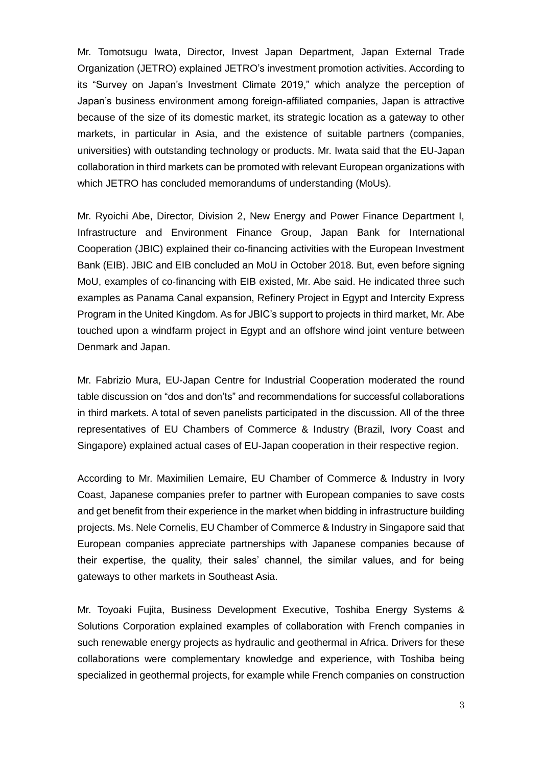Mr. Tomotsugu Iwata, Director, Invest Japan Department, Japan External Trade Organization (JETRO) explained JETRO's investment promotion activities. According to its "Survey on Japan's Investment Climate 2019," which analyze the perception of Japan's business environment among foreign-affiliated companies, Japan is attractive because of the size of its domestic market, its strategic location as a gateway to other markets, in particular in Asia, and the existence of suitable partners (companies, universities) with outstanding technology or products. Mr. Iwata said that the EU-Japan collaboration in third markets can be promoted with relevant European organizations with which JETRO has concluded memorandums of understanding (MoUs).

Mr. Ryoichi Abe, Director, Division 2, New Energy and Power Finance Department I, Infrastructure and Environment Finance Group, Japan Bank for International Cooperation (JBIC) explained their co-financing activities with the European Investment Bank (EIB). JBIC and EIB concluded an MoU in October 2018. But, even before signing MoU, examples of co-financing with EIB existed, Mr. Abe said. He indicated three such examples as Panama Canal expansion, Refinery Project in Egypt and Intercity Express Program in the United Kingdom. As for JBIC's support to projects in third market, Mr. Abe touched upon a windfarm project in Egypt and an offshore wind joint venture between Denmark and Japan.

Mr. Fabrizio Mura, EU-Japan Centre for Industrial Cooperation moderated the round table discussion on "dos and don'ts" and recommendations for successful collaborations in third markets. A total of seven panelists participated in the discussion. All of the three representatives of EU Chambers of Commerce & Industry (Brazil, Ivory Coast and Singapore) explained actual cases of EU-Japan cooperation in their respective region.

According to Mr. Maximilien Lemaire, EU Chamber of Commerce & Industry in Ivory Coast, Japanese companies prefer to partner with European companies to save costs and get benefit from their experience in the market when bidding in infrastructure building projects. Ms. Nele Cornelis, EU Chamber of Commerce & Industry in Singapore said that European companies appreciate partnerships with Japanese companies because of their expertise, the quality, their sales' channel, the similar values, and for being gateways to other markets in Southeast Asia.

Mr. Toyoaki Fujita, Business Development Executive, Toshiba Energy Systems & Solutions Corporation explained examples of collaboration with French companies in such renewable energy projects as hydraulic and geothermal in Africa. Drivers for these collaborations were complementary knowledge and experience, with Toshiba being specialized in geothermal projects, for example while French companies on construction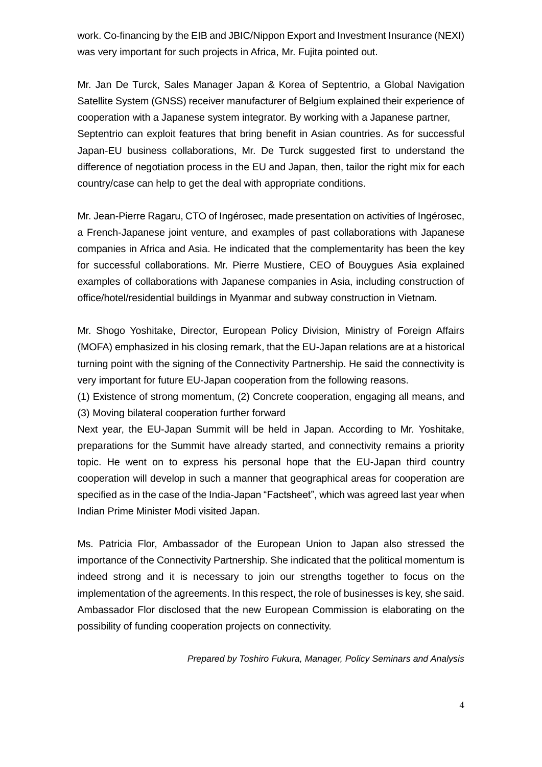work. Co-financing by the EIB and JBIC/Nippon Export and Investment Insurance (NEXI) was very important for such projects in Africa, Mr. Fujita pointed out.

Mr. Jan De Turck, Sales Manager Japan & Korea of Septentrio, a Global Navigation Satellite System (GNSS) receiver manufacturer of Belgium explained their experience of cooperation with a Japanese system integrator. By working with a Japanese partner, Septentrio can exploit features that bring benefit in Asian countries. As for successful Japan-EU business collaborations, Mr. De Turck suggested first to understand the difference of negotiation process in the EU and Japan, then, tailor the right mix for each country/case can help to get the deal with appropriate conditions.

Mr. Jean-Pierre Ragaru, CTO of Ingérosec, made presentation on activities of Ingérosec, a French-Japanese joint venture, and examples of past collaborations with Japanese companies in Africa and Asia. He indicated that the complementarity has been the key for successful collaborations. Mr. Pierre Mustiere, CEO of Bouygues Asia explained examples of collaborations with Japanese companies in Asia, including construction of office/hotel/residential buildings in Myanmar and subway construction in Vietnam.

Mr. Shogo Yoshitake, Director, European Policy Division, Ministry of Foreign Affairs (MOFA) emphasized in his closing remark, that the EU-Japan relations are at a historical turning point with the signing of the Connectivity Partnership. He said the connectivity is very important for future EU-Japan cooperation from the following reasons.

(1) Existence of strong momentum, (2) Concrete cooperation, engaging all means, and (3) Moving bilateral cooperation further forward

Next year, the EU-Japan Summit will be held in Japan. According to Mr. Yoshitake, preparations for the Summit have already started, and connectivity remains a priority topic. He went on to express his personal hope that the EU-Japan third country cooperation will develop in such a manner that geographical areas for cooperation are specified as in the case of the India-Japan "Factsheet", which was agreed last year when Indian Prime Minister Modi visited Japan.

Ms. Patricia Flor, Ambassador of the European Union to Japan also stressed the importance of the Connectivity Partnership. She indicated that the political momentum is indeed strong and it is necessary to join our strengths together to focus on the implementation of the agreements. In this respect, the role of businesses is key, she said. Ambassador Flor disclosed that the new European Commission is elaborating on the possibility of funding cooperation projects on connectivity.

*Prepared by Toshiro Fukura, Manager, Policy Seminars and Analysis*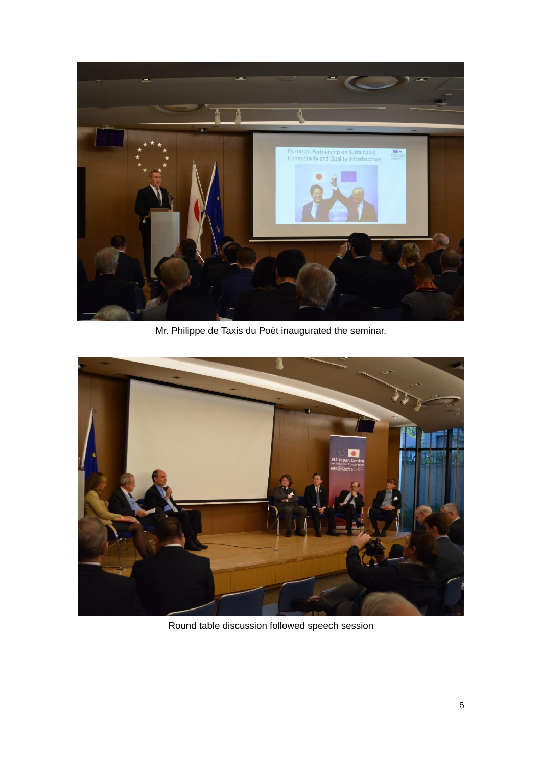

Mr. Philippe de Taxis du Poët inaugurated the seminar.



Round table discussion followed speech session